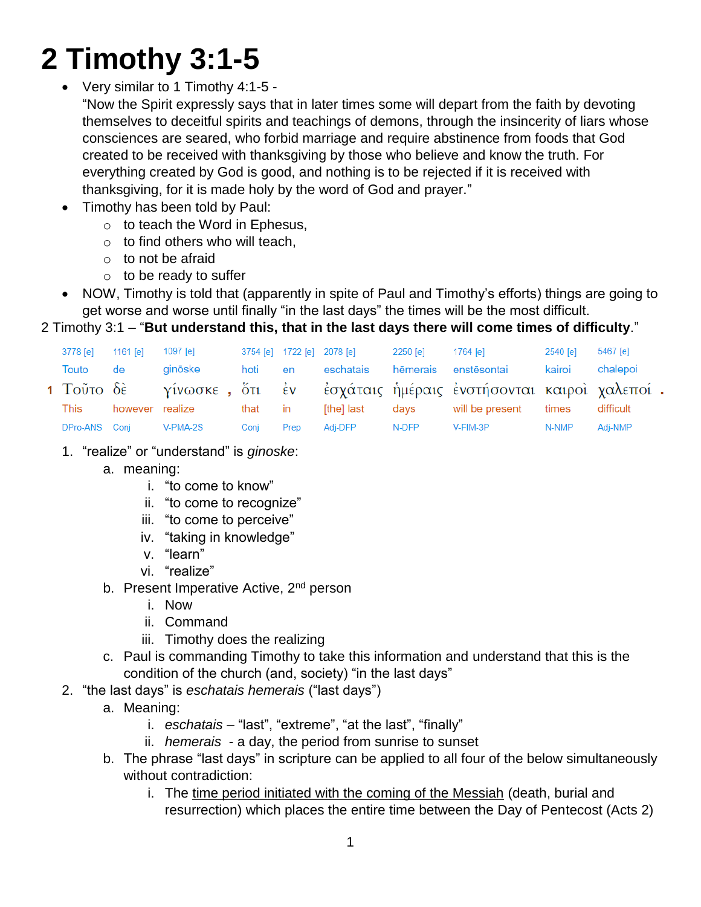# **2 Timothy 3:1-5**

Very similar to 1 Timothy 4:1-5 -

"Now the Spirit expressly says that in later times some will depart from the faith by devoting themselves to deceitful spirits and teachings of demons, through the insincerity of liars whose consciences are seared, who forbid marriage and require abstinence from foods that God created to be received with thanksgiving by those who believe and know the truth. For everything created by God is good, and nothing is to be rejected if it is received with thanksgiving, for it is made holy by the word of God and prayer."

- Timothy has been told by Paul:
	- $\circ$  to teach the Word in Ephesus,
	- $\circ$  to find others who will teach,
	- $\circ$  to not be afraid
	- $\circ$  to be ready to suffer
- NOW, Timothy is told that (apparently in spite of Paul and Timothy's efforts) things are going to get worse and worse until finally "in the last days" the times will be the most difficult.

## 2 Timothy 3:1 – "**But understand this, that in the last days there will come times of difficulty**."

| 3778 [e]      | $1161$ $\lceil$ el | 1097 $[e]$      |         |       | 3754 [e] 1722 [e] 2078 [e] | 2250 [e] | 1764 [e]                                                                  | 2540 [e] | 5467 [e]  |
|---------------|--------------------|-----------------|---------|-------|----------------------------|----------|---------------------------------------------------------------------------|----------|-----------|
| Touto         | de                 | ainōske         | hoti    | en en | eschatais                  |          | hēmerais enstēsontai                                                      | kairoi   | chalepoi  |
|               |                    |                 |         |       |                            |          | 1 Τοῦτο δὲ γίνωσκε , ὅτι ἐν ἐσχάταις ἡμέραις ἐνστήσονται καιροὶ χαλεποί . |          |           |
| This          |                    | however realize | that in |       | [the] last                 | davs     | will be present                                                           | times    | difficult |
| DPro-ANS Conj |                    | V-PMA-2S        | Coni    | Prep  | Adi-DFP                    | N-DFP    | V-FIM-3P                                                                  | N-NMP    | Adi-NMP   |

- 1. "realize" or "understand" is *ginoske*:
	- a. meaning:
		- i. "to come to know"
		- ii. "to come to recognize"
		- iii. "to come to perceive"
		- iv. "taking in knowledge"
		- v. "learn"
		- vi. "realize"
	- b. Present Imperative Active, 2<sup>nd</sup> person
		- i. Now
		- ii. Command
		- iii. Timothy does the realizing
	- c. Paul is commanding Timothy to take this information and understand that this is the condition of the church (and, society) "in the last days"
- 2. "the last days" is *eschatais hemerais* ("last days")
	- a. Meaning:
		- i. *eschatais* "last", "extreme", "at the last", "finally"
		- ii. *hemerais* a day, the period from sunrise to sunset
	- b. The phrase "last days" in scripture can be applied to all four of the below simultaneously without contradiction:
		- i. The time period initiated with the coming of the Messiah (death, burial and resurrection) which places the entire time between the Day of Pentecost (Acts 2)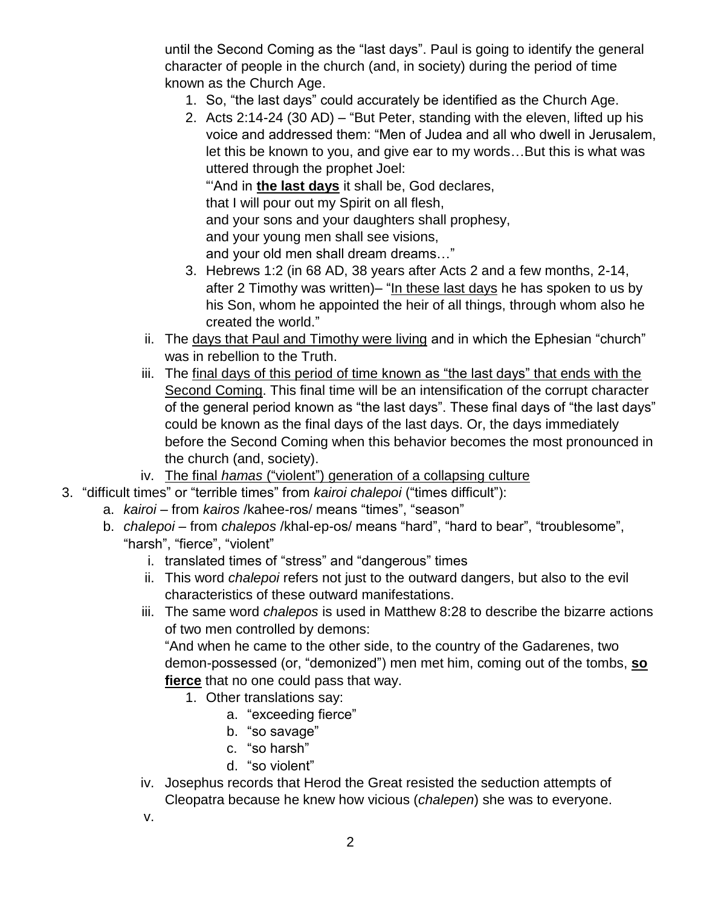until the Second Coming as the "last days". Paul is going to identify the general character of people in the church (and, in society) during the period of time known as the Church Age.

- 1. So, "the last days" could accurately be identified as the Church Age.
- 2. Acts 2:14-24 (30 AD) "But Peter, standing with the eleven, lifted up his voice and addressed them: "Men of Judea and all who dwell in Jerusalem, let this be known to you, and give ear to my words…But this is what was uttered through the prophet Joel:

"'And in **the last days** it shall be, God declares,

that I will pour out my Spirit on all flesh,

and your sons and your daughters shall prophesy,

and your young men shall see visions,

and your old men shall dream dreams…"

- 3. Hebrews 1:2 (in 68 AD, 38 years after Acts 2 and a few months, 2-14, after 2 Timothy was written)– "In these last days he has spoken to us by his Son, whom he appointed the heir of all things, through whom also he created the world."
- ii. The days that Paul and Timothy were living and in which the Ephesian "church" was in rebellion to the Truth.
- iii. The final days of this period of time known as "the last days" that ends with the Second Coming. This final time will be an intensification of the corrupt character of the general period known as "the last days". These final days of "the last days" could be known as the final days of the last days. Or, the days immediately before the Second Coming when this behavior becomes the most pronounced in the church (and, society).
- iv. The final *hamas* ("violent") generation of a collapsing culture
- 3. "difficult times" or "terrible times" from *kairoi chalepoi* ("times difficult"):
	- a. *kairoi* from *kairos* /kahee-ros/ means "times", "season"
	- b. *chalepoi* from *chalepos* /khal-ep-os/ means "hard", "hard to bear", "troublesome", "harsh", "fierce", "violent"
		- i. translated times of "stress" and "dangerous" times
		- ii. This word *chalepoi* refers not just to the outward dangers, but also to the evil characteristics of these outward manifestations.
		- iii. The same word *chalepos* is used in Matthew 8:28 to describe the bizarre actions of two men controlled by demons:

"And when he came to the other side, to the country of the Gadarenes, two demon-possessed (or, "demonized") men met him, coming out of the tombs, **so fierce** that no one could pass that way.

- 1. Other translations say:
	- a. "exceeding fierce"
	- b. "so savage"
	- c. "so harsh"
	- d. "so violent"
- iv. Josephus records that Herod the Great resisted the seduction attempts of Cleopatra because he knew how vicious (*chalepen*) she was to everyone.
- v.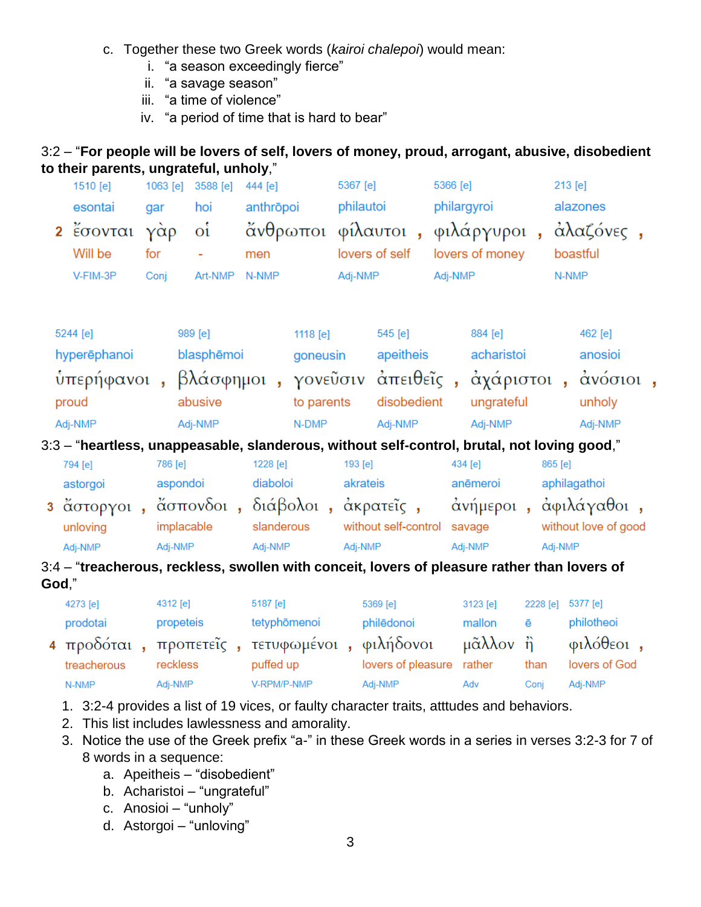- c. Together these two Greek words (*kairoi chalepoi*) would mean:
	- i. "a season exceedingly fierce"
	- ii. "a savage season"
	- iii. "a time of violence"
	- iv. "a period of time that is hard to bear"

### 3:2 – "**For people will be lovers of self, lovers of money, proud, arrogant, abusive, disobedient to their parents, ungrateful, unholy**,"

|                     | 1510 [e]<br>esontai<br>2 έσονται<br>Will be<br>V-FIM-3P                                                      | 1063 [e]<br>gar<br>γὰρ<br>for<br>Conj | 3588 [e]<br>hoi<br>$\mathbf{o}^{\mathbf{t}}$<br>Art-NMP | 444 [e]<br>men<br>N-NMP | anthrōpoi                                   | 5367 [e]<br>philautoi<br>Adj-NMP | άνθρωποι φίλαυτοι, φιλάργυροι, άλαζόνες,<br>lovers of self | 5366 [e]<br>Adj-NMP | philargyroi<br>lovers of money                 |          |                                                                                                            | 213 [e]<br>alazones<br>boastful<br>N-NMP |  |
|---------------------|--------------------------------------------------------------------------------------------------------------|---------------------------------------|---------------------------------------------------------|-------------------------|---------------------------------------------|----------------------------------|------------------------------------------------------------|---------------------|------------------------------------------------|----------|------------------------------------------------------------------------------------------------------------|------------------------------------------|--|
|                     | 5244 [e]<br>hyperēphanoi<br>ύπερήφανοι, βλάσφημοι, γονεῦσιν ἀπειθεῖς, ἀχάριστοι, ἀνόσιοι<br>proud<br>Adj-NMP |                                       | 989 [e]<br>blasphēmoi<br>abusive<br>Adj-NMP             |                         | 1118 [e]<br>goneusin<br>to parents<br>N-DMP |                                  | 545 [e]<br>apeitheis<br>disobedient<br>Adj-NMP             |                     | 884 [e]<br>acharistoi<br>ungrateful<br>Adj-NMP |          |                                                                                                            | 462 [e]<br>anosioi<br>unholy<br>Adj-NMP  |  |
|                     | 3:3 - "heartless, unappeasable, slanderous, without self-control, brutal, not loving good,"                  |                                       |                                                         |                         |                                             |                                  |                                                            |                     |                                                |          |                                                                                                            |                                          |  |
|                     | 794 [e]<br>astorgoi                                                                                          | 786 [e]<br>aspondoi                   |                                                         |                         | 1228 [e]<br>diaboloi                        | 193 [e]<br>akrateis              |                                                            | 434 [e]             | anēmeroi                                       |          | 865 [e]                                                                                                    | aphilagathoi                             |  |
| unloving<br>Adj-NMP |                                                                                                              |                                       | implacable<br>Adj-NMP                                   |                         | slanderous<br>Adj-NMP                       |                                  | without self-control savage<br>Adj-NMP                     |                     | Adj-NMP                                        |          | 3 ἄστοργοι , ἄσπονδοι , διάβολοι , ἀκρατεῖς , ο ἀνήμεροι , ἀφιλάγαθοι ,<br>without love of good<br>Adj-NMP |                                          |  |
|                     | 3:4 – "treacherous, reckless, swollen with conceit, lovers of pleasure rather than lovers of                 |                                       |                                                         |                         |                                             |                                  |                                                            |                     |                                                |          |                                                                                                            |                                          |  |
|                     | God,"                                                                                                        |                                       |                                                         |                         |                                             |                                  |                                                            |                     |                                                |          |                                                                                                            |                                          |  |
|                     | 4273 [e]                                                                                                     | 4312 [e]                              |                                                         |                         | 5187 [e]                                    |                                  | 5369 [e]                                                   |                     | 3123 [e]                                       | 2228 [e] |                                                                                                            | 5377 [e]                                 |  |
|                     | prodotai                                                                                                     | propeteis                             |                                                         |                         | tetyphōmenoi                                |                                  | philēdonoi                                                 |                     | mallon                                         | ē        |                                                                                                            | philotheoi                               |  |
|                     | 4 προδόται, προπετεΐς, τετυφωμένοι, φιλήδονοι μᾶλλον ή                                                       |                                       |                                                         |                         |                                             |                                  |                                                            |                     |                                                |          |                                                                                                            | φιλόθεοι,                                |  |
|                     | treacherous                                                                                                  | reckless                              |                                                         |                         | puffed up                                   |                                  | lovers of pleasure rather                                  |                     |                                                | than     |                                                                                                            | lovers of God                            |  |

1. 3:2-4 provides a list of 19 vices, or faulty character traits, atttudes and behaviors.

V-RPM/P-NMP

- 2. This list includes lawlessness and amorality.
- 3. Notice the use of the Greek prefix "a-" in these Greek words in a series in verses 3:2-3 for 7 of 8 words in a sequence:

Adj-NMP

Adv

Conj

Adj-NMP

- a. Apeitheis "disobedient"
- b. Acharistoi "ungrateful"
- c. Anosioi "unholy"
- d. Astorgoi "unloving"

Adj-NMP

N-NMP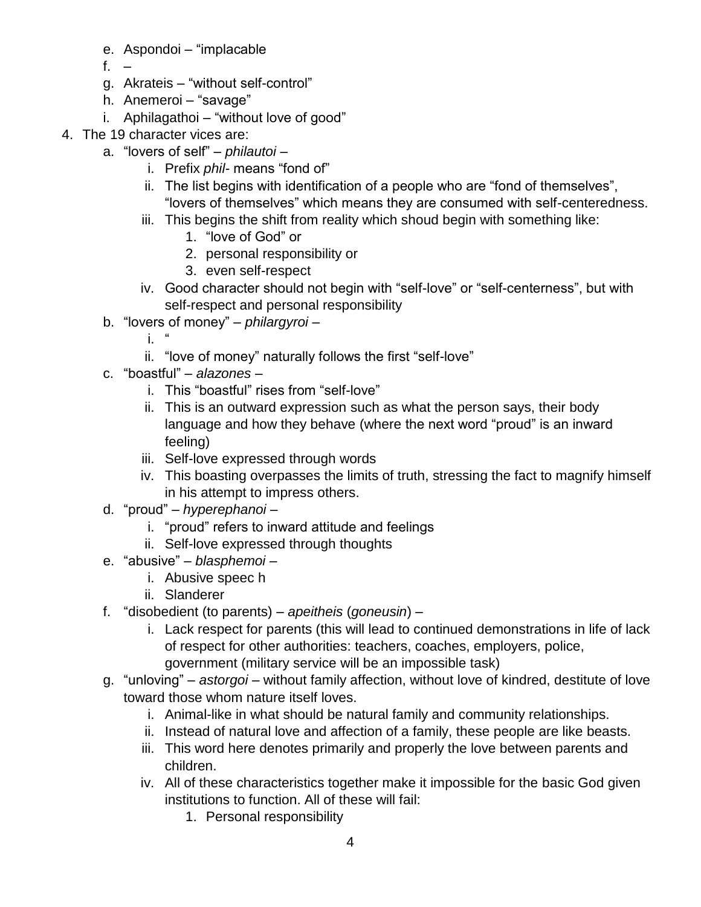- e. Aspondoi "implacable
- f. –
- g. Akrateis "without self-control"
- h. Anemeroi "savage"
- i. Aphilagathoi "without love of good"
- 4. The 19 character vices are:
	- a. "lovers of self" *philautoi*
		- i. Prefix *phil-* means "fond of"
		- ii. The list begins with identification of a people who are "fond of themselves", "lovers of themselves" which means they are consumed with self-centeredness.
		- iii. This begins the shift from reality which shoud begin with something like:
			- 1. "love of God" or
			- 2. personal responsibility or
			- 3. even self-respect
		- iv. Good character should not begin with "self-love" or "self-centerness", but with self-respect and personal responsibility
	- b. "lovers of money" *philargyroi*
		- i. "
		- ii. "love of money" naturally follows the first "self-love"
	- c. "boastful" *alazones*
		- i. This "boastful" rises from "self-love"
		- ii. This is an outward expression such as what the person says, their body language and how they behave (where the next word "proud" is an inward feeling)
		- iii. Self-love expressed through words
		- iv. This boasting overpasses the limits of truth, stressing the fact to magnify himself in his attempt to impress others.
	- d. "proud" *hyperephanoi*
		- i. "proud" refers to inward attitude and feelings
		- ii. Self-love expressed through thoughts
	- e. "abusive" *blasphemoi*
		- i. Abusive speec h
		- ii. Slanderer
	- f. "disobedient (to parents) *apeitheis* (*goneusin*)
		- i. Lack respect for parents (this will lead to continued demonstrations in life of lack of respect for other authorities: teachers, coaches, employers, police, government (military service will be an impossible task)
	- g. "unloving" *astorgoi* without family affection, without love of kindred, destitute of love toward those whom nature itself loves.
		- i. Animal-like in what should be natural family and community relationships.
		- ii. Instead of natural love and affection of a family, these people are like beasts.
		- iii. This word here denotes primarily and properly the love between parents and children.
		- iv. All of these characteristics together make it impossible for the basic God given institutions to function. All of these will fail:
			- 1. Personal responsibility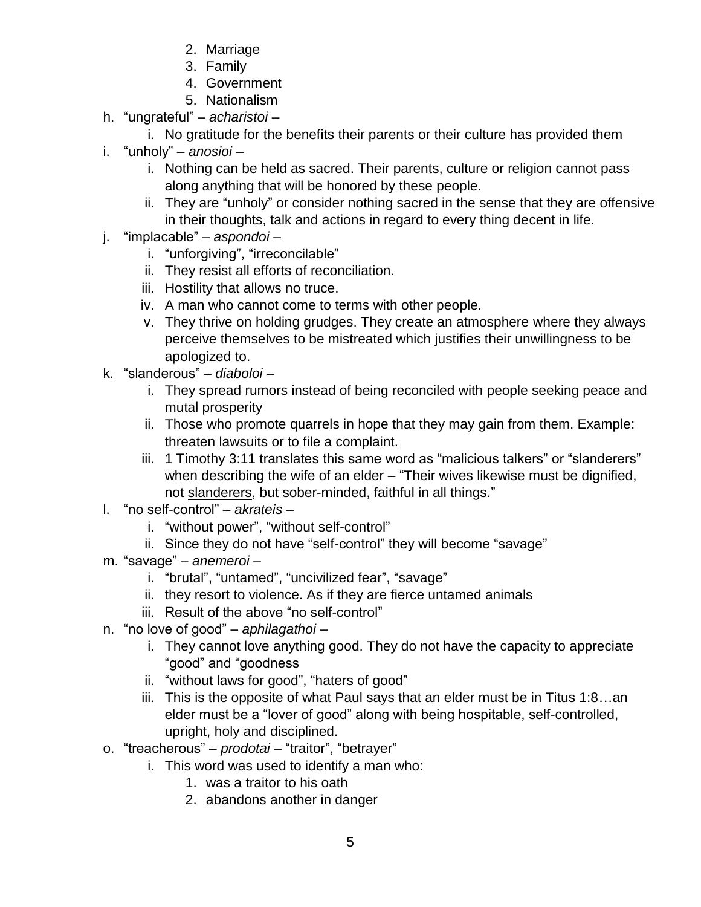- 2. Marriage
- 3. Family
- 4. Government
- 5. Nationalism
- h. "ungrateful" *acharistoi*
	- i. No gratitude for the benefits their parents or their culture has provided them
- i. "unholy" *anosioi*
	- i. Nothing can be held as sacred. Their parents, culture or religion cannot pass along anything that will be honored by these people.
	- ii. They are "unholy" or consider nothing sacred in the sense that they are offensive in their thoughts, talk and actions in regard to every thing decent in life.
- j. "implacable" *aspondoi*
	- i. "unforgiving", "irreconcilable"
	- ii. They resist all efforts of reconciliation.
	- iii. Hostility that allows no truce.
	- iv. A man who cannot come to terms with other people.
	- v. They thrive on holding grudges. They create an atmosphere where they always perceive themselves to be mistreated which justifies their unwillingness to be apologized to.
- k. "slanderous" *diaboloi*
	- i. They spread rumors instead of being reconciled with people seeking peace and mutal prosperity
	- ii. Those who promote quarrels in hope that they may gain from them. Example: threaten lawsuits or to file a complaint.
	- iii. 1 Timothy 3:11 translates this same word as "malicious talkers" or "slanderers" when describing the wife of an elder – "Their wives likewise must be dignified, not slanderers, but sober-minded, faithful in all things."
- l. "no self-control" *akrateis*
	- i. "without power", "without self-control"
	- ii. Since they do not have "self-control" they will become "savage"
- m. "savage" *anemeroi*
	- i. "brutal", "untamed", "uncivilized fear", "savage"
	- ii. they resort to violence. As if they are fierce untamed animals
	- iii. Result of the above "no self-control"
- n. "no love of good" *aphilagathoi*
	- i. They cannot love anything good. They do not have the capacity to appreciate "good" and "goodness
	- ii. "without laws for good", "haters of good"
	- iii. This is the opposite of what Paul says that an elder must be in Titus 1:8…an elder must be a "lover of good" along with being hospitable, self-controlled, upright, holy and disciplined.
- o. "treacherous" *prodotai* "traitor", "betrayer"
	- i. This word was used to identify a man who:
		- 1. was a traitor to his oath
		- 2. abandons another in danger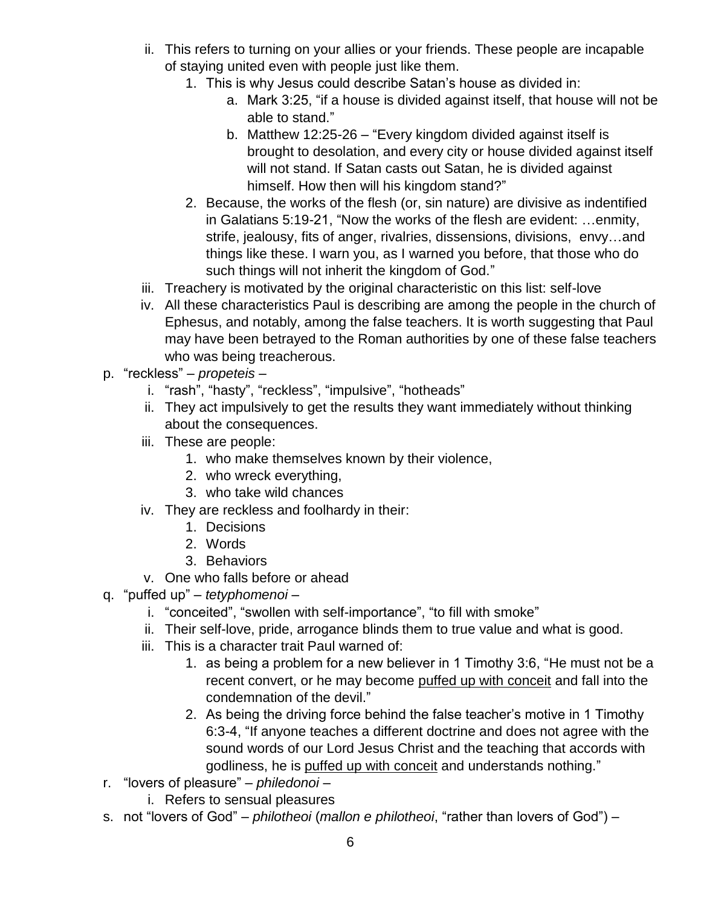- ii. This refers to turning on your allies or your friends. These people are incapable of staying united even with people just like them.
	- 1. This is why Jesus could describe Satan's house as divided in:
		- a. Mark 3:25, "if a house is divided against itself, that house will not be able to stand."
		- b. Matthew 12:25-26 "Every kingdom divided against itself is brought to desolation, and every city or house divided against itself will not stand. If Satan casts out Satan, he is divided against himself. How then will his kingdom stand?"
	- 2. Because, the works of the flesh (or, sin nature) are divisive as indentified in Galatians 5:19-21, "Now the works of the flesh are evident: …enmity, strife, jealousy, fits of anger, rivalries, dissensions, divisions, envy…and things like these. I warn you, as I warned you before, that those who do such things will not inherit the kingdom of God."
- iii. Treachery is motivated by the original characteristic on this list: self-love
- iv. All these characteristics Paul is describing are among the people in the church of Ephesus, and notably, among the false teachers. It is worth suggesting that Paul may have been betrayed to the Roman authorities by one of these false teachers who was being treacherous.
- p. "reckless" *propeteis*
	- i. "rash", "hasty", "reckless", "impulsive", "hotheads"
	- ii. They act impulsively to get the results they want immediately without thinking about the consequences.
	- iii. These are people:
		- 1. who make themselves known by their violence,
		- 2. who wreck everything,
		- 3. who take wild chances
	- iv. They are reckless and foolhardy in their:
		- 1. Decisions
		- 2. Words
		- 3. Behaviors
	- v. One who falls before or ahead
- q. "puffed up" *tetyphomenoi*
	- i. "conceited", "swollen with self-importance", "to fill with smoke"
	- ii. Their self-love, pride, arrogance blinds them to true value and what is good.
	- iii. This is a character trait Paul warned of:
		- 1. as being a problem for a new believer in 1 Timothy 3:6, "He must not be a recent convert, or he may become puffed up with conceit and fall into the condemnation of the devil."
		- 2. As being the driving force behind the false teacher's motive in 1 Timothy 6:3-4, "If anyone teaches a different doctrine and does not agree with the sound words of our Lord Jesus Christ and the teaching that accords with godliness, he is puffed up with conceit and understands nothing."
- r. "lovers of pleasure" *philedonoi*
	- i. Refers to sensual pleasures
- s. not "lovers of God" *philotheoi* (*mallon e philotheoi*, "rather than lovers of God") –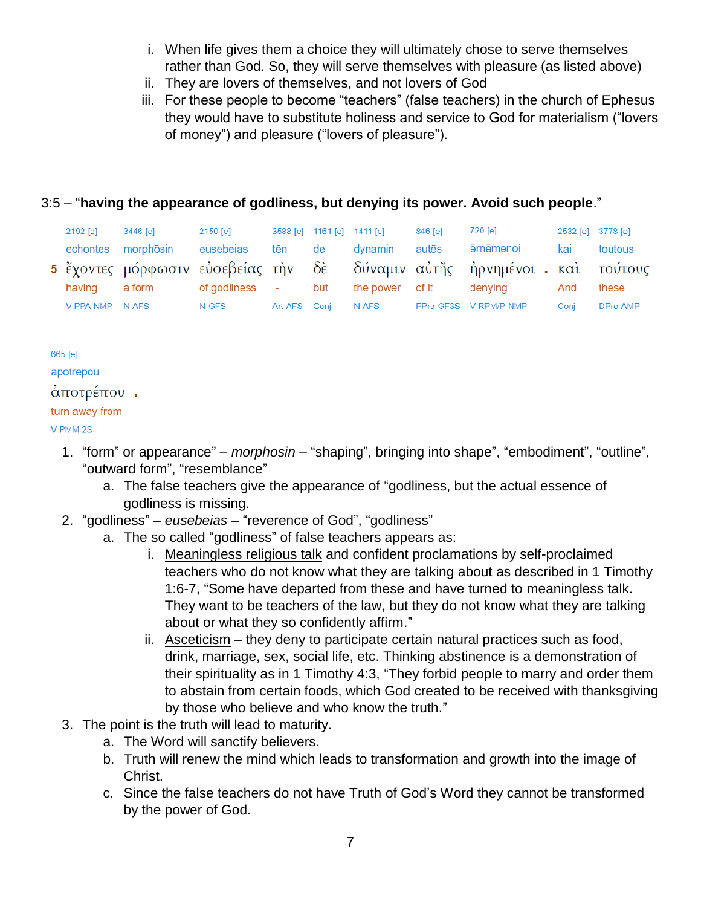- i. When life gives them a choice they will ultimately chose to serve themselves rather than God. So, they will serve themselves with pleasure (as listed above)
- ii. They are lovers of themselves, and not lovers of God
- iii. For these people to become "teachers" (false teachers) in the church of Ephesus they would have to substitute holiness and service to God for materialism ("lovers of money") and pleasure ("lovers of pleasure").

### 3:5 – "**having the appearance of godliness, but denying its power. Avoid such people**."

| 2192 [e]        | 3446 [e]  | 2150 [e]       |              | 3588 [e] 1161 [e] 1411 [e] |                 | 846 [e] | 720 [e]                                                                 | 2532 [e] 3778 [e] |          |
|-----------------|-----------|----------------|--------------|----------------------------|-----------------|---------|-------------------------------------------------------------------------|-------------------|----------|
| echontes        | morphōsin | eusebeias      | tēn de       |                            | dynamin         | autēs   | ērnēmenoi                                                               | kai               | toutous  |
|                 |           |                |              |                            |                 |         | 5 έχοντες μόρφωσιν εὐσεβείας τὴν δὲ δύναμιν αὐτῆς ἠρνημένοι καὶ τούτους |                   |          |
| having          | a form    | of godliness - |              | but                        | the power of it |         | denving                                                                 | And               | these    |
| V-PPA-NMP N-AFS |           | N-GFS          | Art-AFS Coni |                            | N-AFS           |         | PPro-GF3S V-RPM/P-NMP                                                   | Coni              | DPro-AMP |

665 [e] apotrepou άποτρέπου.

#### turn away from

#### V-PMM-2S

- 1. "form" or appearance" *morphosin* "shaping", bringing into shape", "embodiment", "outline", "outward form", "resemblance"
	- a. The false teachers give the appearance of "godliness, but the actual essence of godliness is missing.
- 2. "godliness" *eusebeias* "reverence of God", "godliness"
	- a. The so called "godliness" of false teachers appears as:
		- i. Meaningless religious talk and confident proclamations by self-proclaimed teachers who do not know what they are talking about as described in 1 Timothy 1:6-7, "Some have departed from these and have turned to meaningless talk. They want to be teachers of the law, but they do not know what they are talking about or what they so confidently affirm."
		- ii. Asceticism they deny to participate certain natural practices such as food, drink, marriage, sex, social life, etc. Thinking abstinence is a demonstration of their spirituality as in 1 Timothy 4:3, "They forbid people to marry and order them to abstain from certain foods, which God created to be received with thanksgiving by those who believe and who know the truth."
- 3. The point is the truth will lead to maturity.
	- a. The Word will sanctify believers.
	- b. Truth will renew the mind which leads to transformation and growth into the image of Christ.
	- c. Since the false teachers do not have Truth of God's Word they cannot be transformed by the power of God.